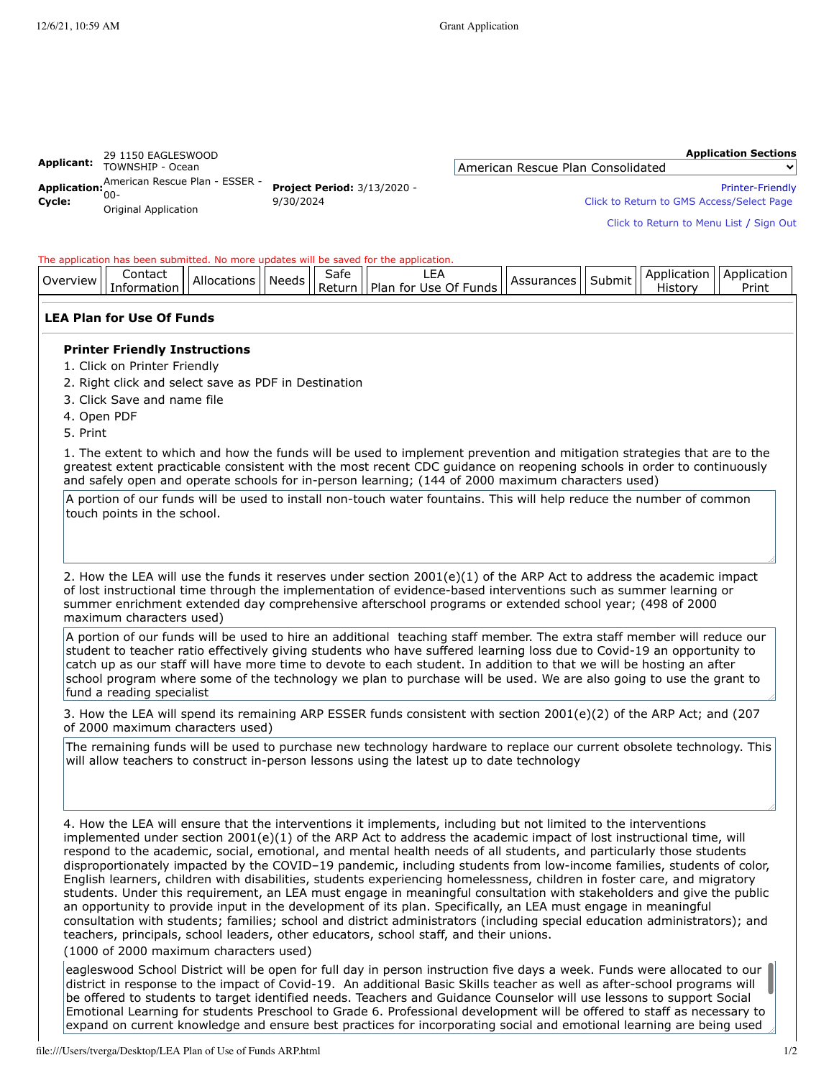### **Application Sections**

| Applicant: | 29 1150 EAGLESWOOD                                                           |                                                 |          |
|------------|------------------------------------------------------------------------------|-------------------------------------------------|----------|
|            | TOWNSHIP - Ocean                                                             |                                                 | Americar |
| Cvcle:     | Application: American Rescue Plan - ESSER -<br>$00-$<br>Original Application | <b>Project Period: 3/13/2020 -</b><br>9/30/2024 |          |

## n Rescue Plan Consolidated

[Printer-Friendly](https://njdoe.mtwgms.org/NJDOEGmsWeb/ApplicationShell.aspx?DisplayName=LEA%20Plan%20for%20Use%20Of%20Funds#)

Click to Return to [GMS Access/Select](https://njdoe.mtwgms.org/NJDOEGmsWeb/StaticPages/AplySelectByFiscalYear.aspx) Page

Click to [Return](https://njdoe.mtwgms.org/NJDOEGmsWeb/StaticPages/menulist.aspx) to Menu List / [Sign](https://njdoe.mtwgms.org/NJDOEGmsWeb/logout.aspx) Out

## The application has been submitted. No more updates will be saved for the application.

| .)ver<br>"view | Contact  | Allocations | . .<br>Needs | ∽<br>Safe         |                                     | <b>IPPOC</b><br>. Дес<br>rances<br>ASSU. | 15m<br>ייב<br>ш | . Apr<br>…∩lic⊇″ | annlıc<br>catiol |
|----------------|----------|-------------|--------------|-------------------|-------------------------------------|------------------------------------------|-----------------|------------------|------------------|
|                | $\cdots$ |             |              | Ret<br>. <i>.</i> | Of.<br>Funds<br>Use<br>tor<br>-Plar |                                          |                 | fistor           | Print            |

# **LEA Plan for Use Of Funds**

# **Printer Friendly Instructions**

- 1. Click on Printer Friendly
- 2. Right click and select save as PDF in Destination
- 3. Click Save and name file
- 4. Open PDF
- 5. Print

1. The extent to which and how the funds will be used to implement prevention and mitigation strategies that are to the greatest extent practicable consistent with the most recent CDC guidance on reopening schools in order to continuously and safely open and operate schools for in-person learning; (144 of 2000 maximum characters used)

A portion of our funds will be used to install non-touch water fountains. This will help reduce the number of common touch points in the school.

2. How the LEA will use the funds it reserves under section 2001(e)(1) of the ARP Act to address the academic impact of lost instructional time through the implementation of evidence-based interventions such as summer learning or summer enrichment extended day comprehensive afterschool programs or extended school year; (498 of 2000 maximum characters used)

A portion of our funds will be used to hire an additional teaching staff member. The extra staff member will reduce our student to teacher ratio effectively giving students who have suffered learning loss due to Covid-19 an opportunity to catch up as our staff will have more time to devote to each student. In addition to that we will be hosting an after school program where some of the technology we plan to purchase will be used. We are also going to use the grant to fund a reading specialist

3. How the LEA will spend its remaining ARP ESSER funds consistent with section 2001(e)(2) of the ARP Act; and (207 of 2000 maximum characters used)

The remaining funds will be used to purchase new technology hardware to replace our current obsolete technology. This will allow teachers to construct in-person lessons using the latest up to date technology

4. How the LEA will ensure that the interventions it implements, including but not limited to the interventions implemented under section 2001(e)(1) of the ARP Act to address the academic impact of lost instructional time, will respond to the academic, social, emotional, and mental health needs of all students, and particularly those students disproportionately impacted by the COVID–19 pandemic, including students from low-income families, students of color, English learners, children with disabilities, students experiencing homelessness, children in foster care, and migratory students. Under this requirement, an LEA must engage in meaningful consultation with stakeholders and give the public an opportunity to provide input in the development of its plan. Specifically, an LEA must engage in meaningful consultation with students; families; school and district administrators (including special education administrators); and teachers, principals, school leaders, other educators, school staff, and their unions.

(1000 of 2000 maximum characters used)

eagleswood School District will be open for full day in person instruction five days a week. Funds were allocated to our district in response to the impact of Covid-19. An additional Basic Skills teacher as well as after-school programs will be offered to students to target identified needs. Teachers and Guidance Counselor will use lessons to support Social Emotional Learning for students Preschool to Grade 6. Professional development will be offered to staff as necessary to expand on current knowledge and ensure best practices for incorporating social and emotional learning are being used